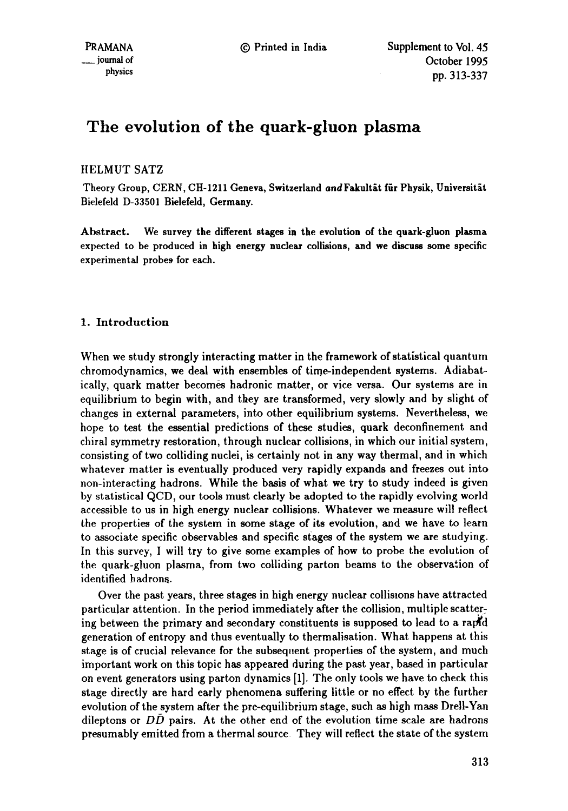# **The evolution of the quark-gluon plasma**

# HELMUT SATZ

Theory Group, CERN, CH-1211 Geneva, Switzerland and Fakultät für Physik, Universität Bielefeld D-33501 Bielefeld, Germany.

Abstract. We survey the different stages in the evolution of the quark-gluon plasma expected to be produced in high energy nuclear collisions, and we **discuss some** specific experimental probes for each.

# 1. Introduction

When we study strongly interacting matter in the framework of statistical quantum chromodynamics, we deal with ensembles of time-independent systems. Adiabatically, quark matter becomes hadronic matter, or vice versa. Our systems are in equilibrium to begin with, and they are transformed, very slowly and by slight of changes in external parameters, into other equilibrium systems. Nevertheless, we hope to test the essential predictions of these studies, quark deconfinement and chiral symmetry restoration, through nuclear collisions, in which our initial system, consisting of two colliding nuclei, is certainly not in any way thermal, and in which whatever matter is eventually produced very rapidly expands and freezes out into non-interacting hadrons. While the basis of what we try to study indeed is given by statistical QCD, our tools must clearly be adopted to the rapidly evolving world accessible to us in high energy nuclear collisions. Whatever we measure will reflect the properties of the system in some stage of its evolution, and we have to learn to associate specific observables and specific stages of the system we are studying. In this survey, I will try to give some examples of how to probe the evolution of the quark-gluon plasma, from two colliding parton beams to the observation of identified hadrons.

Over the past years, three stages in high energy nuclear collisions have attracted particular attention. In the period immediately after the collision, multiple scatter: ing between the primary and secondary constituents is supposed to lead to a rapid generation of entropy and thus eventually to thermalisation. What happens at this stage is of crucial relevance for the subsequent properties of the system, and much important work on this topic has appeared during the past year, based in particular on event generators using patton dynamics [1]. The only tools we have to check this stage directly are hard early phenomena suffering little or no effect by the further evolution of the system after the pre-equilibrium stage, such as high mass Drell-Yan dileptons or  $D\bar{D}$  pairs. At the other end of the evolution time scale are hadrons presumably emitted from a thermal source They will reflect the state of the system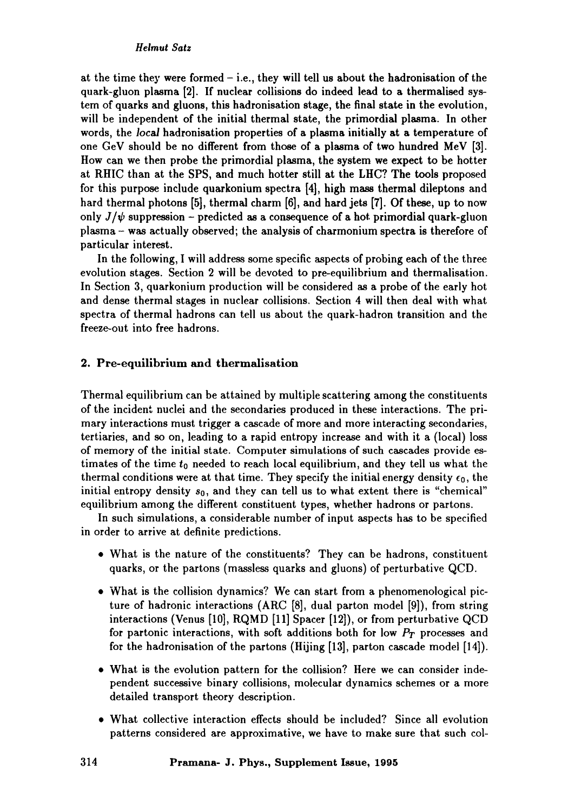## *Heimut Satz*

at the time they were formed  $-$  i.e., they will tell us about the hadronisation of the quark-gluon plasma [2]. If nuclear collisions do indeed lead to a thermalised system of quarks and gluons, this hadronisation stage, the final state in the evolution, will be independent of the initial thermal state, the primordial plasma. In other words, the *local* hadronisation properties of a plasma initially at a temperature of one GeV should be no different from those of a plasma of two hundred MeV [3]. How can we then probe the primordial plasma, the system we expect to be hotter at RIlIC than at the SPS, and much hotter still at the LItC? The tools proposed for this purpose include quarkonium spectra [4], high mass thermal dileptons and hard thermal photons [5], thermal charm [6], and hard jets [7]. Of these, up to now only  $J/\psi$  suppression – predicted as a consequence of a hot primordial quark-gluon plasma - was actually observed; the analysis of charmonium spectra is therefore of particular interest.

In the following, I will address some specific aspects of probing each of the three evolution stages. Section 2 will be devoted to pre-equilibrium and thermalisation. In Section 3, quarkonium production will be considered as a probe of the early hot and dense thermal stages in nuclear collisions. Section 4 will then deal with what spectra of thermal hadrons can tell us about the quark-hadron transition and the freeze-out into free hadrons.

## 2. Pre-equilibrium and thermalisation

Thermal equilibrium can be attained by multiple scattering among the constituents of the incident nuclei and the secondaries produced in these interactions. The primary interactions must trigger a cascade of more and more interacting secondaries, tertiaries, and so on, leading to a rapid entropy increase and with it a (local) loss of memory of the initial state. Computer simulations of such cascades provide estimates of the time  $t_0$  needed to reach local equilibrium, and they tell us what the thermal conditions were at that time. They specify the initial energy density  $\epsilon_0$ , the initial entropy density  $s_0$ , and they can tell us to what extent there is "chemical" equilibrium among the different constituent types, whether hadrons or partons.

In such simulations, a considerable number of input aspects has to be specified in order to arrive at definite predictions.

- 9 What is the nature of the constituents? They can be hadrons, constituent quarks, or the partons (massless quarks and gluons) of perturbative QCD.
- What is the collision dynamics? We can start from a phenomenological picture of hadronic interactions (ARC [8], dual patton model [9]), from string interactions (Venus [10], RQMD [11] Spacer [12]), or from perturbative QCD for partonic interactions, with soft additions both for low *PT* processes and for the hadronisation of the partons (Hijing  $[13]$ , parton cascade model  $[14]$ ).
- 9 What is the evolution pattern for the collision? Here we can consider independent successive binary collisions, molecular dynamics schemes or a more detailed transport theory description.
- What collective interaction effects should be included? Since all evolution patterns considered are approximative, we have to make sure that such col-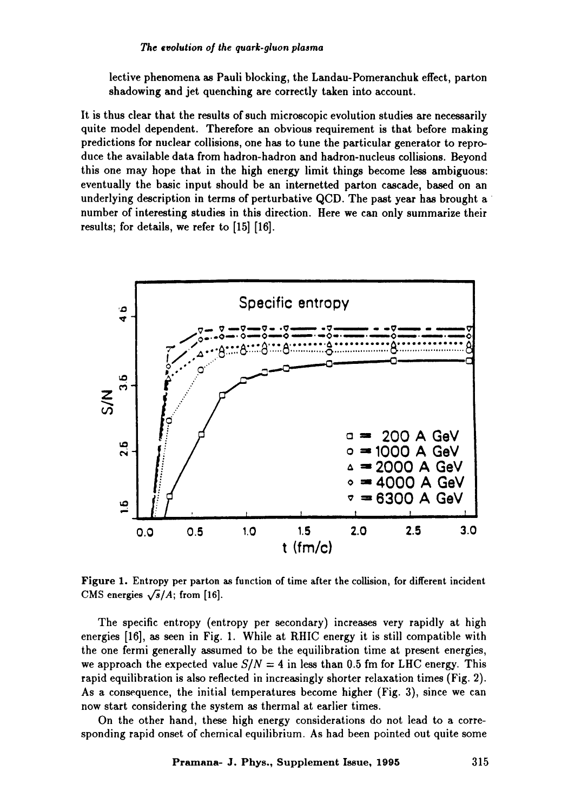lective phenomena as Pauli blocking, the Landau-Pomeranchuk effect, parton shadowing and jet quenching are correctly taken into account.

It is thus clear that the results of such microscopic evolution studies are necessarily quite model dependent. Therefore an obvious requirement is that before making predictions for nuclear collisions, one has to tune the particular generator to reproduce the available data from hadron-hadron and hadron-nucleus collisions. Beyond this one may hope that in the high energy limit things become less ambiguous: eventually the basic input should be an internetted parton cascade, based on an underlying description in terms of perturbative QCD. The past year has brought a number of interesting studies in this direction. Here we can only summarize their results; for details, we refer to [15] [16].



**Figure 1.** Entropy per parton as function of time after the collision, for different incident CMS energies  $\sqrt{s}/A$ ; from [16].

The specific entropy (entropy per secondary) increases very rapidly at high energies [16], as seen in Fig. 1. While at RHIC energy it is still compatible with the one fermi generally assumed to be the equilibration time at present energies, we approach the expected value  $S/N = 4$  in less than 0.5 fm for LHC energy. This rapid equilibration is also reflected in increasingly shorter relaxation times (Fig. 2). As a consequence, the initial temperatures become higher (Fig. 3), since we can now start considering the system as thermal at earlier times.

On the other hand, these high energy considerations do not lead to a corresponding rapid onset of chemical equilibrium. As had been pointed out quite some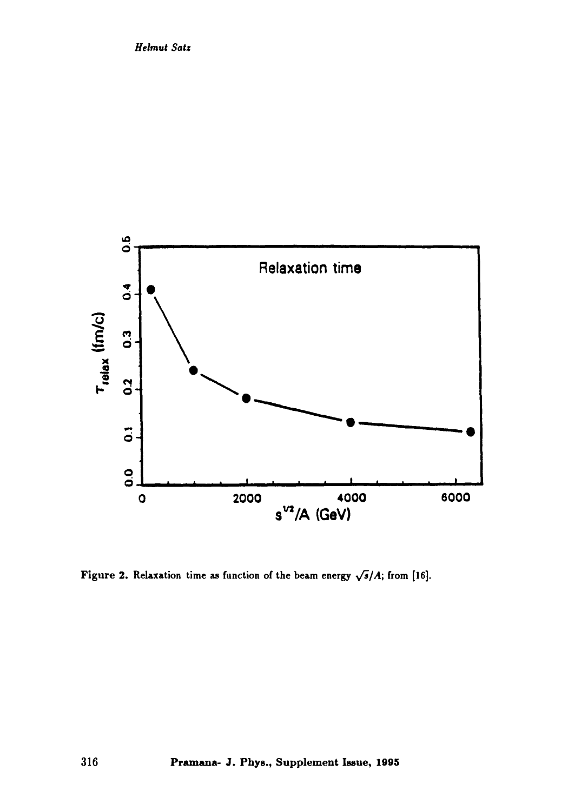

Figure 2. Relaxation time as function of the beam energy  $\sqrt{s}/A$ ; from [16].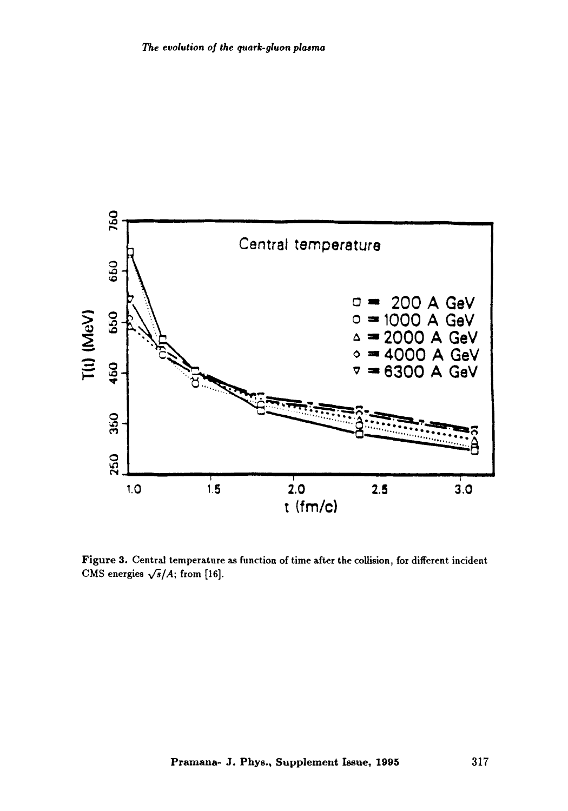

Figure 3. Central temperature as function of time after the collision, for different incident CMS energies  $\sqrt{s}/A$ ; from [16].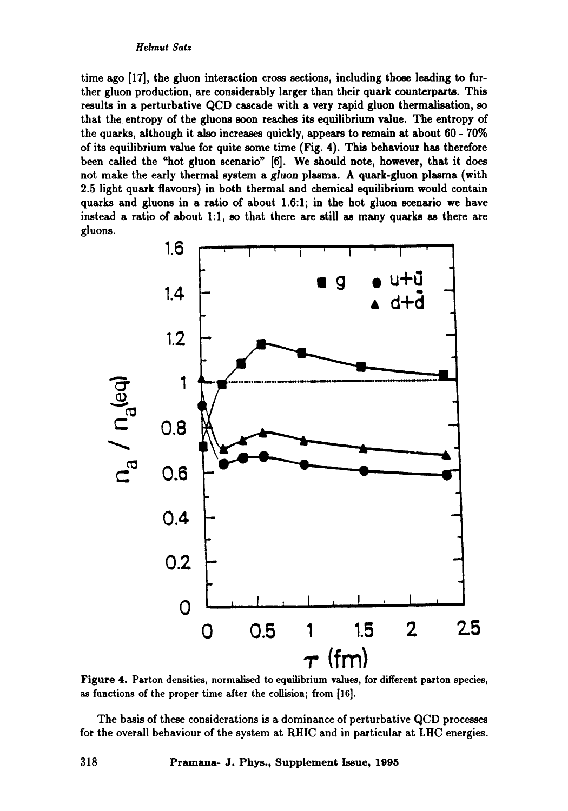time ago [17], the gluon interaction cross sections, including those leading to further gluon production, are considerably larger than their quark counterparts. This results in a perturbative QCD cascade with a very rapid gluon thermalisation, so that the entropy of the gluons soon reaches its equilibrium value. The entropy of the quarks, although it also increases quickly, appears to remain at about 60 - 70% of its equilibrium value for quite some time (Fig. 4). This hehaviour has therefore been called the "hot gluon scenario" [6]. We should note, however, that it does not make the early thermal system a gluon plasma. A quark-gluon plasma (with 2.5 light quark flavours) in both thermal and chemical equilibrium would contain quarks and gluons in a ratio of about 1.6:1; in the hot gluon scenario we have instead a ratio of about 1:1, so that there are still as many quarks as there are **gluons.** 



Figure 4. Parton densities, normalised to equilibrium values, for different parton species, as functions of the proper time after the collision; from [16].

The basis of these considerations is a dominance of perturbative QCD processes for the overall behaviour of the system at RHIC and in particular at LHC energies.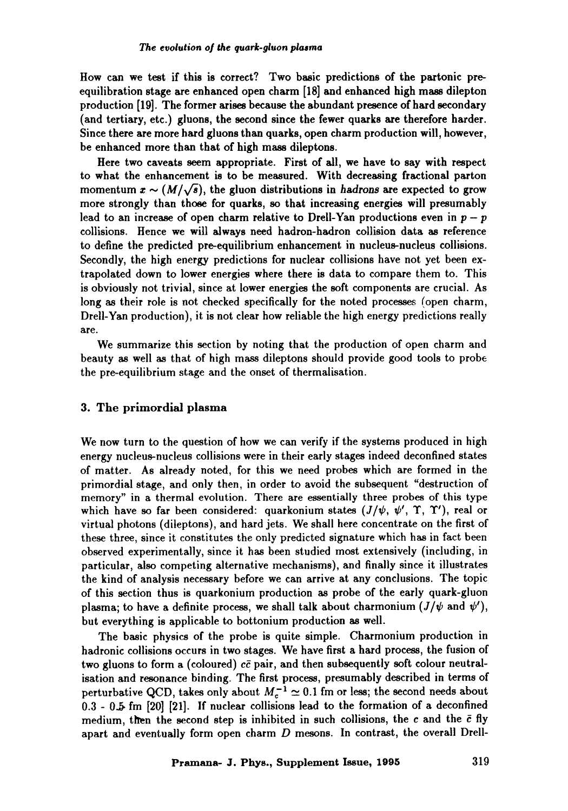How can we test if this is correct? Two basic predictions of the partonic preequilibration stage are enhanced open charm [18] and enhanced high mass dilepton production [19]. The former arises because the abundant presence of hard secondary (and tertiary, etc.) gluons, the second since the fewer quarks are therefore harder. Since there are more hard gluons than quarks, open charm production will, however, be enhanced more than that of high mass dileptons.

Here two caveats seem appropriate. First of all, we have to say with respect to what the enhancement is to be measured. With decreasing fractional parton momentum  $x \sim (M/\sqrt{s})$ , the gluon distributions in hadrons are expected to grow more strongly than those for quarks, so that increasing energies will presumably lead to an increase of open charm relative to Drell-Yan productions even in  $p - p$ collisions. Hence we will always need hadron-hadron collision data as reference to define the predicted pre-equilibrium enhancement in nucleus-nucleus collisions. Secondly, the high energy predictions for nuclear collisions have not yet been extrapolated down to lower energies where there is data to compare them to. This is obviously not trivial, since at lower energies the soft components are crucial. As long as their role is not checked specifically for the noted processes (open charm, Drell-Yan production), it is not clear how reliable the high energy predictions really are.

We summarize this section by noting that the production of open charm and beauty as well as that of high mass dileptons should provide good tools to probe the pre-equilibrium stage and the onset of thermalisation.

## 3. The primordial plasma

We now turn to the question of how we can verify if the systems produced in high energy nucleus-nucleus collisions were in their early stages indeed deconfined states of matter. As already noted, for this we need probes which are formed in the primordial stage, and only then, in order to avoid the subsequent "destruction of memory" in a thermal evolution. There are essentially three probes of this type which have so far been considered: quarkonium states  $(J/\psi, \psi', \Upsilon, \Upsilon')$ , real or virtual photons (dileptons), and hard jets. We shall here concentrate on the first of these three, since it constitutes the only predicted signature which has in fact been observed experimentally, since it has been studied most extensively (including, in particular, also competing alternative mechanisms), and finally since it illustrates the kind of analysis necessary before we can arrive at any conclusions. The topic of this section thus is quarkonium production as probe of the early quark-gluon plasma; to have a definite process, we shall talk about charmonium  $(J/\psi \text{ and } \psi')$ , but everything is applicable to bottonium production as well.

The basic physics of the probe is quite simple. Charmonium production in hadronic collisions occurs in two stages. We have first a hard process, the fusion of two gluons to form a (coloured)  $c\bar{c}$  pair, and then subsequently soft colour neutralisation and resonance binding. The first process, presumably described in terms of perturbative QCD, takes only about  $M_c^{-1} \simeq 0.1$  fm or less; the second needs about 0.3 - 0-5. fm [20] [21]. If nuclear collisions lead to the formation of a deconfined medium, then the second step is inhibited in such collisions, the c and the  $\bar{c}$  fly apart and eventually form open charm  $D$  mesons. In contrast, the overall Drell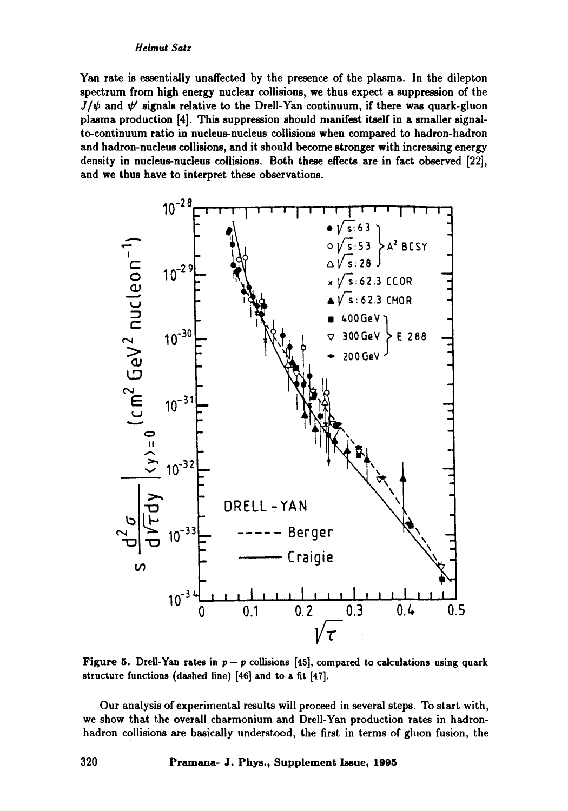Yan rate is essentially unaffected by the presence of the plasma. In the dilepton spectrum from high energy nuclear collisions, we thus expect a suppression of the  $J/\psi$  and  $\psi'$  signals relative to the Drell-Yan continuum, if there was quark-gluon plasma production [4]. This suppression should manifest itself in a smaller signalto-continuum ratio in nucleus-nucleus collisions when compared to hadron-hadron and hadron-nucleus collisions, and it should become stronger with increasing energy density in nucleus-nucleus collisions. Both these effects are in fact observed [22], and we thus have to interpret these observations.



Figure 5. Drell-Yan rates in  $p - p$  collisions [45], compared to calculations using quark structure functions (dashed line) [46] and to a fit [47].

Our analysis of experimental results will proceed in several steps. To start with, we show that the overall charmonium and Drell-Yan production rates in hadronhadron collisions are basically understood, the first in terms of gluon fusion, the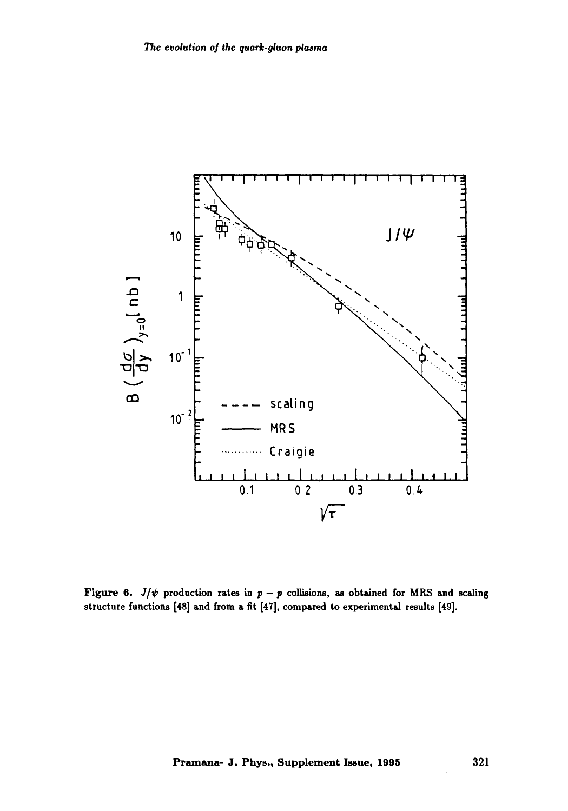

Figure 6.  $J/\psi$  production rates in  $p - p$  collisions, as obtained for MRS and scaling structure functions [48] and from a fit [47], compared to experimental results [49].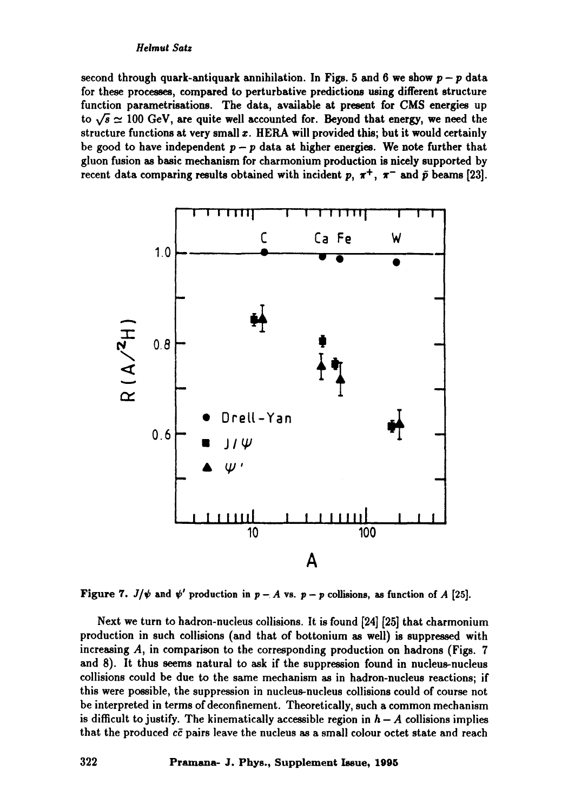second through quark-antiquark annihilation. In Figs. 5 and 6 we show  $p - p$  data for these processes, compared to perturbative predictions using different structure function parametrisations. The data, available at present for CMS energies up to  $\sqrt{s} \simeq 100$  GeV, are quite well accounted for. Beyond that energy, we need the structure functions at very small z. HERA will provided this; but it would certainly be good to have independent  $p - p$  data at higher energies. We note further that gluon fusion as basic mechanism for charmonium production is nicdy supported by recent data comparing results obtained with incident p,  $\pi^+$ ,  $\pi^-$  and  $\bar{p}$  beams [23].



Figure 7.  $J/\psi$  and  $\psi'$  production in  $p - A$  vs.  $p - p$  collisions, as function of A [25].

Next we turn to hadron-nucleus collisions. It is found [24] [25] that charmonium production in such collisions (and that of bottonium as well) is suppressed with increasing A, in comparison to the corresponding production on hadrons (Figs. 7 and 8). It thus seems natural to ask if the suppression found in nucleus-nucleus collisions could be due to the same mechanism as in hadron-nucleus reactions; if this were possible, the suppression in nucleus-nucleus collisions could of course not be interpreted in terms of deconfinement. Theoretically, such a common mechanism is difficult to justify. The kinematically accessible region in  $h - A$  collisions implies that the produced  $c\bar{c}$  pairs leave the nucleus as a small colour octet state and reach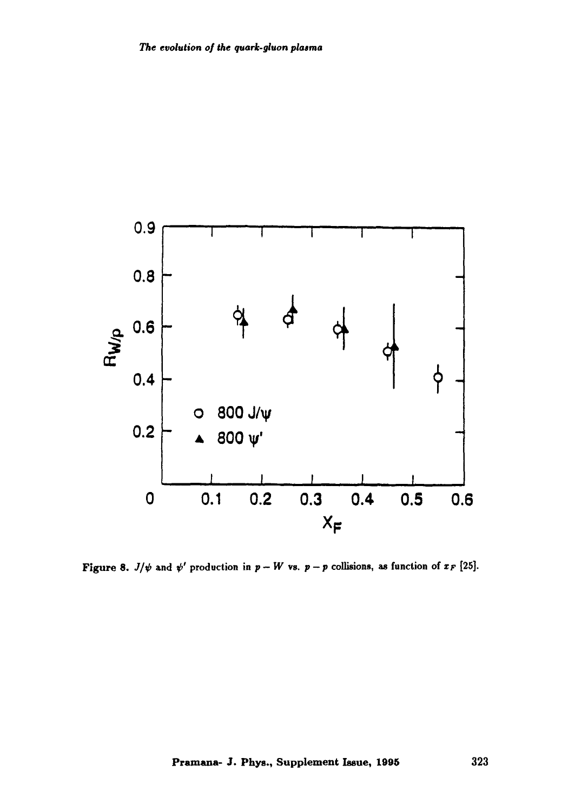

Figure 8.  $J/\psi$  and  $\psi'$  production in  $p - W$  vs.  $p - p$  collisions, as function of  $x_F$  [25].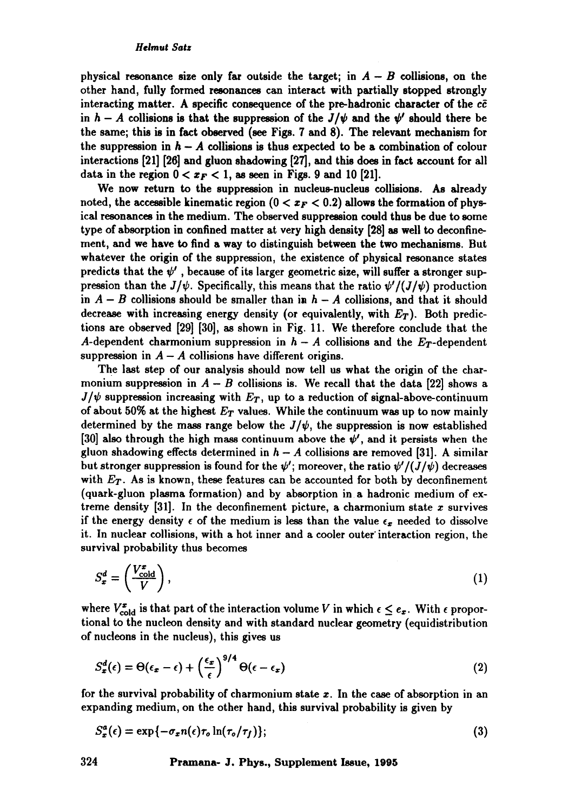physical resonance size only far outside the target; in  $A - B$  collisions, on the other hand, fully formed resonaaces can interact with partially stopped strongly interacting matter. A specific consequence of the pre-hadronic character of the  $c\bar{c}$ in  $h - A$  collisions is that the suppression of the  $J/\psi$  and the  $\psi'$  should there be the same; this is in fact observed (see Figs. 7 sad 8). The relevant mechanism for the suppression in  $h - A$  collisions is thus expected to be a combination of colour interactions [21] [26] sad gluon shadowing [27], and this does in fact account for all data in the region  $0 < x_F < 1$ , as seen in Figs. 9 and 10 [21].

We now return to the suppression in nucleus-nucleus collisions. As already noted, the accessible kinematic region  $(0 < x_F < 0.2)$  allows the formation of physical resonances in the medium. The observed suppression could thus be due to some type of absorption in confined matter at very high density [28] as well to deconfinement, and we have to find a way to distinguish between the two mechanisms. But whatever the origin of the suppression, the existence of physical resonance states predicts that the  $\psi'$ , because of its larger geometric size, will suffer a stronger suppression than the  $J/\psi$ . Specifically, this means that the ratio  $\psi'/(J/\psi)$  production in  $A - B$  collisions should be smaller than in  $h - A$  collisions, and that it should decrease with increasing energy density (or equivalently, with  $E_T$ ). Both predictions are observed [29] [30], as shown in Fig. 11. We therefore conclude that the A-dependent charmonium suppression in  $h - A$  collisions and the  $E_T$ -dependent suppression in  $A - A$  collisions have different origins.

The last step of our analysis should now tell us what the origin of the charmonium suppression in  $A - B$  collisions is. We recall that the data [22] shows a  $J/\psi$  suppression increasing with  $E_T$ , up to a reduction of signal-above-continuum of about 50% at the highest  $E_T$  values. While the continuum was up to now mainly determined by the mass range below the  $J/\psi$ , the suppression is now established [30] also through the high mass continuum above the  $\psi'$ , and it persists when the gluon shadowing effects determined in  $h - A$  collisions are removed [31]. A similar but stronger suppression is found for the  $\psi'$ ; moreover, the ratio  $\psi'/(J/\psi)$  decreases with  $E_T$ . As is known, these features can be accounted for both by deconfinement (quark-gluon plasma formation) and by absorption in a hadronic medium of extreme density  $[31]$ . In the deconfinement picture, a charmonium state x survives if the energy density  $\epsilon$  of the medium is less than the value  $\epsilon_x$  needed to dissolve it. In nuclear collisions, with a hot inner and a cooler outer'interaction region, the survival probability thus becomes

$$
S_x^d = \left(\frac{V_{\text{cold}}^x}{V}\right),\tag{1}
$$

where  $V_{\text{cold}}^{x}$  is that part of the interaction volume V in which  $\epsilon \leq e_{x}$ . With  $\epsilon$  proportional to the nucleon density and with standard nuclear geometry (equidistribution of nucleons in the nucleus), this gives us

$$
S_x^d(\epsilon) = \Theta(\epsilon_x - \epsilon) + \left(\frac{\epsilon_x}{\epsilon}\right)^{9/4} \Theta(\epsilon - \epsilon_x)
$$
\n(2)

for the survival probability of charmonium state  $x$ . In the case of absorption in an expanding medium, on the other hand, this survival probability is given by

$$
S_x^a(\epsilon) = \exp\{-\sigma_x n(\epsilon)\tau_o \ln(\tau_o/\tau_f)\};\tag{3}
$$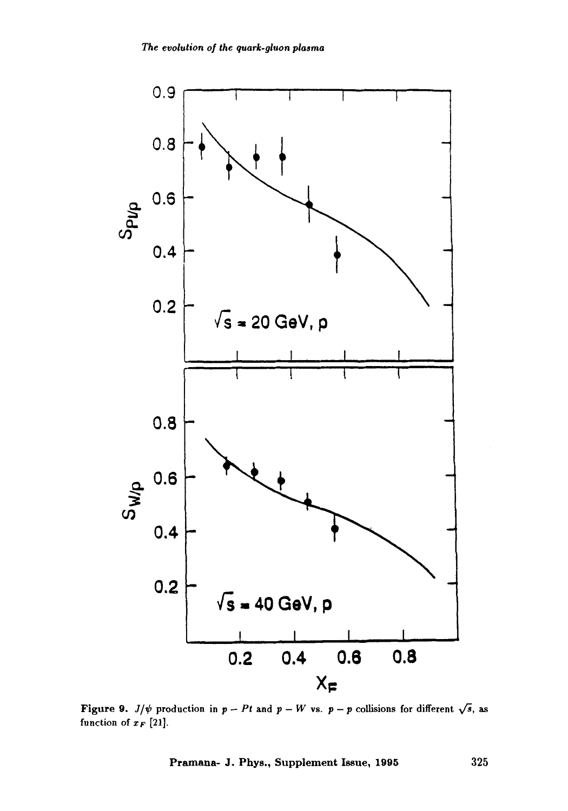

Figure 9.  $J/\psi$  production in  $p - Pt$  and  $p - W$  vs.  $p - p$  collisions for different  $\sqrt{s}$ , as function of  $x_F$  [21].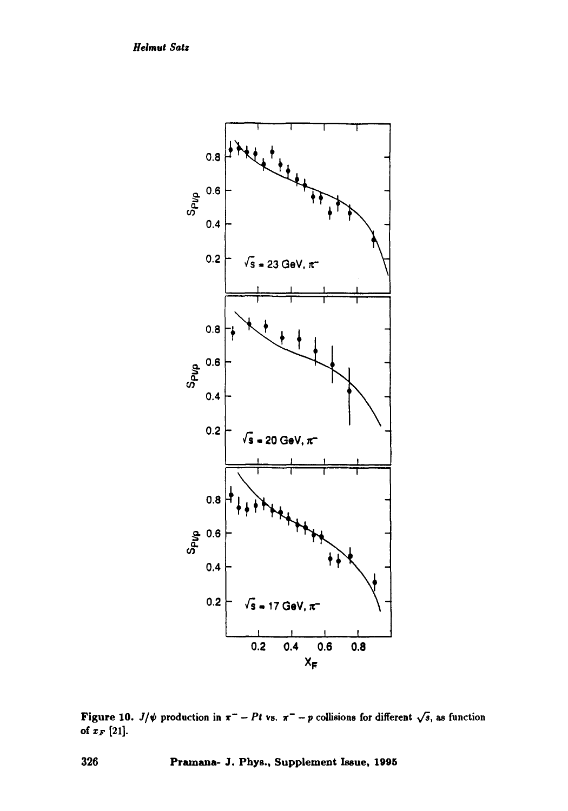*Helmut Satz* 



Figure 10. *J/* $\psi$  production in  $\pi^-$  - Pt vs.  $\pi^-$  - p collisions for different  $\sqrt{s}$ , as function of  $x_F$  [21].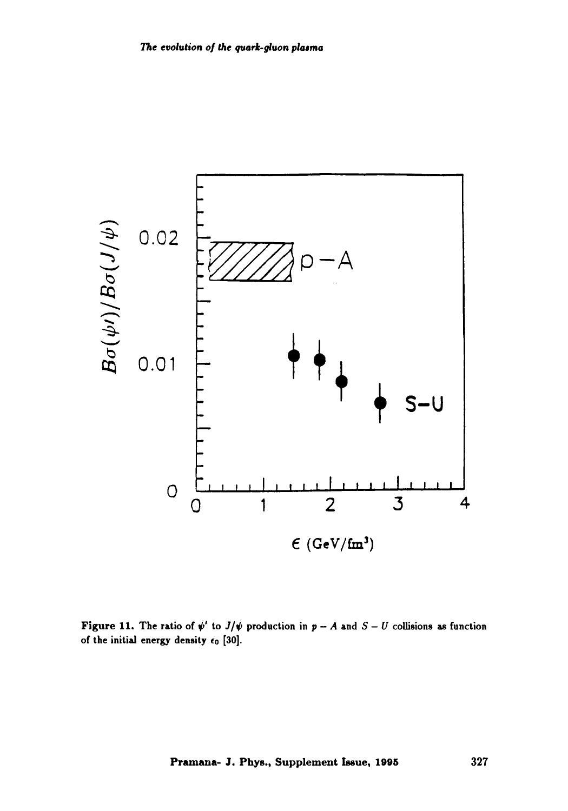

**Figure 11.** The ratio of  $\psi'$  to  $J/\psi$  production in  $p - A$  and  $S - U$  collisions as function **of the initial energy density co [30].**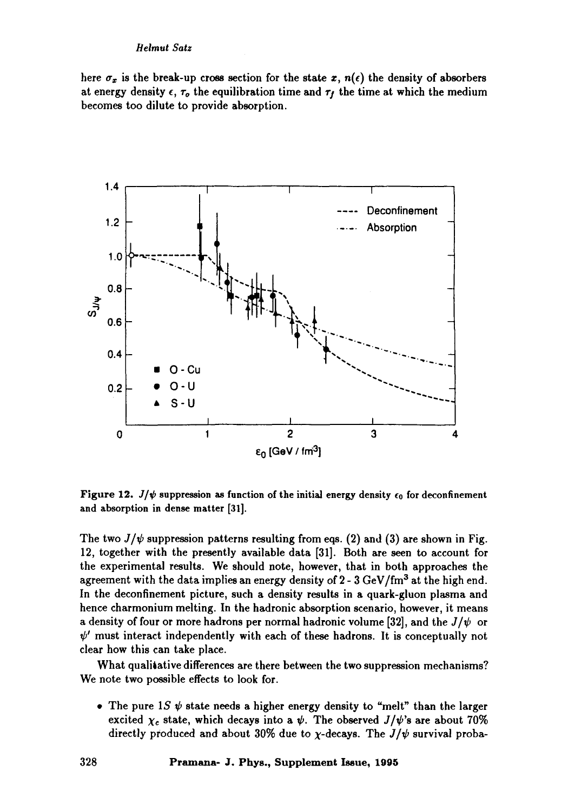#### *Heimut Satz*

here  $\sigma_x$  is the break-up cross section for the state x,  $n(\epsilon)$  the density of absorbers at energy density  $\epsilon$ ,  $\tau_o$  the equilibration time and  $\tau_f$  the time at which the medium becomes too dilute to provide absorption.



Figure 12.  $J/\psi$  suppression as function of the initial energy density  $\epsilon_0$  for deconfinement and absorption in dense matter [31].

The two  $J/\psi$  suppression patterns resulting from eqs. (2) and (3) are shown in Fig. 12, together with the presently available data [31]. Both are seen to account for the experimental results. We should note, however, that in both approaches the agreement with the data implies an energy density of  $2 - 3 \text{ GeV}/\text{fm}^3$  at the high end. In the deconfinement picture, such a density results in a quark-gluon plasma and hence charmonium melting. In the hadronic absorption scenario, however, it means a density of four or more hadrons per normal hadronic volume [32], and the  $J/\psi$  or  $\psi'$  must interact independently with each of these hadrons. It is conceptually not clear how this can take place.

What qualitative differences are there between the two suppression mechanisms? We note two possible effects to look for.

• The pure 1S  $\psi$  state needs a higher energy density to "melt" than the larger excited  $\chi_c$  state, which decays into a  $\psi$ . The observed  $J/\psi$ 's are about 70% directly produced and about 30% due to  $\chi$ -decays. The  $J/\psi$  survival proba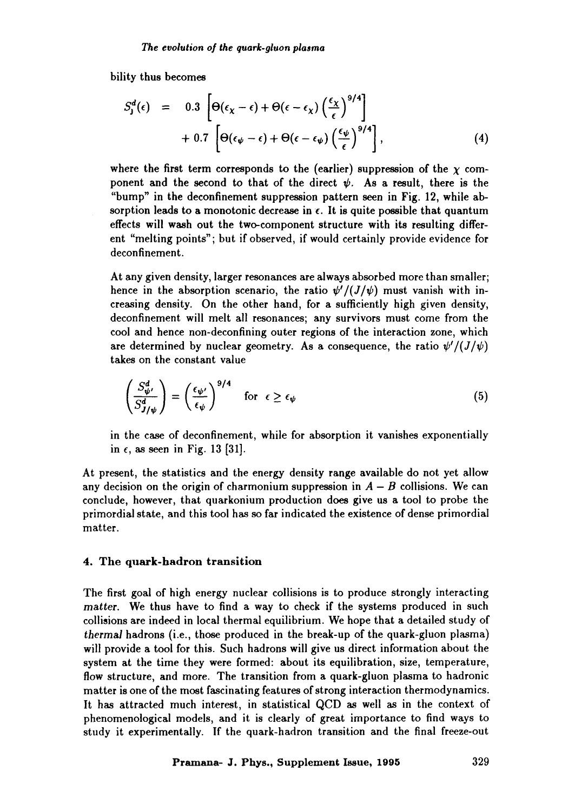bility thus becomes

$$
S_{\mathbf{j}}^{d}(\epsilon) = 0.3 \left[ \Theta(\epsilon_{\chi} - \epsilon) + \Theta(\epsilon - \epsilon_{\chi}) \left( \frac{\epsilon_{\chi}}{\epsilon} \right)^{9/4} \right] + 0.7 \left[ \Theta(\epsilon_{\psi} - \epsilon) + \Theta(\epsilon - \epsilon_{\psi}) \left( \frac{\epsilon_{\psi}}{\epsilon} \right)^{9/4} \right], \tag{4}
$$

where the first term corresponds to the (earlier) suppression of the  $\chi$  component and the second to that of the direct  $\psi$ . As a result, there is the *"bump"* in the deconfinement suppression pattern seen in Fig. 12, while absorption leads to a monotonic decrease in  $\epsilon$ . It is quite possible that quantum effects will wash out the two-component structure with its resulting different "melting points"; but if observed, if would certainly provide evidence for deconfinement.

At any given density, larger resonances are always absorbed more than smaller; hence in the absorption scenario, the ratio  $\psi'/(J/\psi)$  must vanish with increasing density. On the other hand, for a sufficiently high given density, deconfinement will melt all resonances; any survivors must come from the cool and hence non-deconfining outer regions of the interaction zone, which are determined by nuclear geometry. As a consequence, the ratio  $\psi'/(J/\psi)$ takes on the constant value

$$
\left(\frac{S_{\psi}^d}{S_{J/\psi}^d}\right) = \left(\frac{\epsilon_{\psi'}}{\epsilon_{\psi}}\right)^{9/4} \quad \text{for } \epsilon \ge \epsilon_{\psi} \tag{5}
$$

in the case of deconfinement, while for absorption it vanishes exponentially in  $\epsilon$ , as seen in Fig. 13 [31].

At present, the statistics and the energy density range available do not yet allow any decision on the origin of charmonium suppression in  $A - B$  collisions. We can conclude, however, that quarkonium production does give us a tool to probe the primordial state, and this tool has so far indicated the existence of dense primordial matter.

#### 4. The quark-hadron transition

The first goal of high energy nuclear collisions is to produce strongly interacting *matter.* We thus have to find a way to check if the systems produced in such collisions are indeed in local thermal equilibrium. We hope that a detailed study of *thermal* hadrons (i.e., those produced in the break-up of the quark-gluon plasma) will provide a tool for this. Such hadrons will give us direct information about the system at the time they were formed: about its equilibration, size, temperature, flow structure, and more. The transition from a quark-gluon plasma to hadronic matter is one of the most fascinating features of strong interaction thermodynamics. It has attracted much interest, in statistical QCD as well as in the context of phenomenological models, and it is clearly of great importance to find ways to study it experimentally. If the quark-hadron transition and the final freeze-out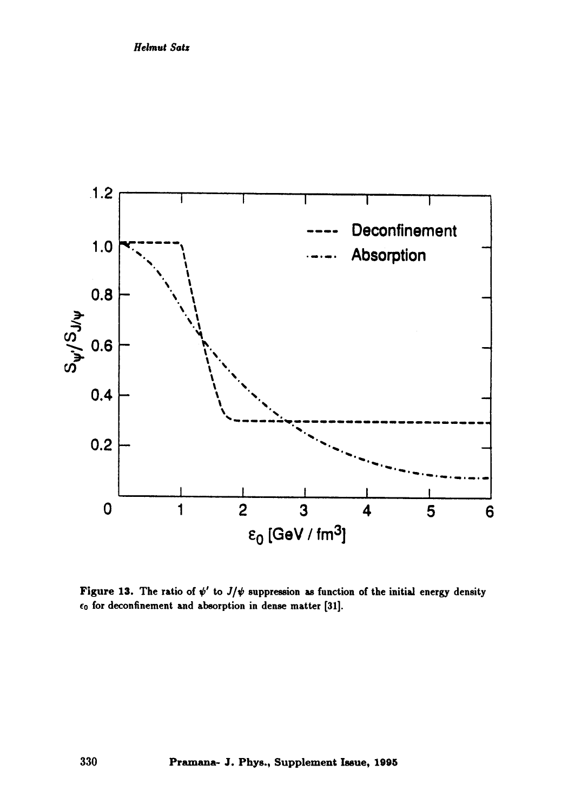

Figure 13. The ratio of  $\psi'$  to  $J/\psi$  suppression as function of the initial energy density  $\epsilon_0$  for deconfinement and absorption in dense matter [31].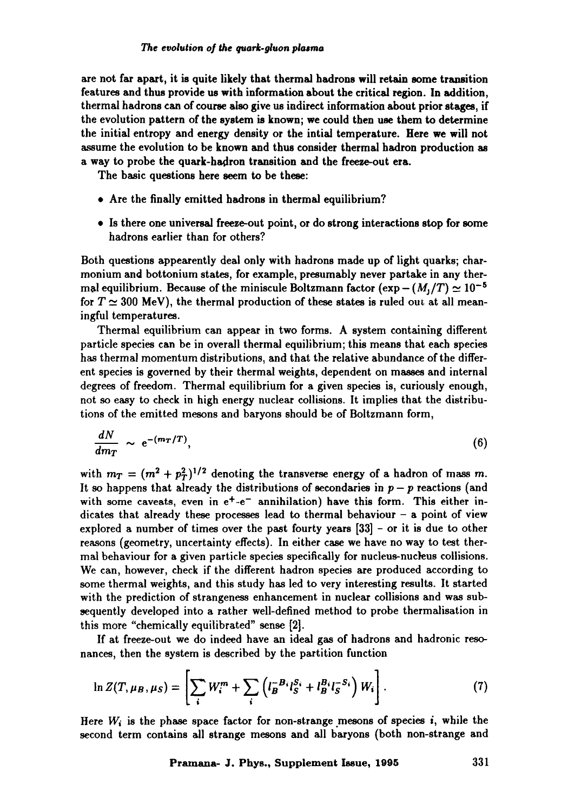are not far apart, it is quite likely that thermal hadrons will retain some transition features and thus provide us with information about the critical region. In addition, thermal hadrons can of course also give us indirect information about prior stages, if the evolution pattern of the system is known; we could then use **them to** determine the initial entropy and energy density or the intial temperature. Here we will not assume the evolution to be known and thus consider thermal hadron production as a way to probe the quark-hadron transition and the freeze-out era.

The basic questions here seem to be these:

- 9 Are the finally emitted hadrons in thermal equilibrium?
- 9 Is there one universal freeze-out point, or do strong interactions stop for some hadrons earlier than for others?

Both questions appearently deal only with hadrons made up of light quarks; charmonium and bottonium states, for example, presumably never partake in any thermal equilibrium. Because of the miniscule Boltzmann factor  $(\exp - (M_1/T) \simeq 10^{-5}$ for  $T \simeq 300$  MeV), the thermal production of these states is ruled out at all meaningful temperatures.

Thermal equilibrium can appear in two forms. A system containing different particle species can be in overall thermal equilibrium; this means that each species has thermal momentum distributions, and that the relative abundance of the different species is governed by their thermal weights, dependent on masses and internal degrees of freedom. Thermal equilibrium for a given species is, curiously enough, not so easy to check in high energy nuclear collisions. It implies that the distributions of the emitted mesons and baryons should be of Boltzmann form,

$$
\frac{dN}{dm_T} \sim e^{-(m_T/T)},\tag{6}
$$

with  $m_T = (m^2 + p_T^2)^{1/2}$  denoting the transverse energy of a hadron of mass m. It so happens that already the distributions of secondaries in  $p - p$  reactions (and with some caveats, even in  $e^+e^-$  annihilation) have this form. This either indicates that already these processes lead to thermal behaviour  $-$  a point of view explored a number of times over the past fourty years [33] - or it is due to other reasons (geometry, uncertainty effects). In either case we have no way to test thermal behaviour for a given particle species specifically for nucleus-nucleus collisions. We can, however, check if the different hadron species are produced according to some thermal weights, and this study has led to very interesting results. It started with the prediction of strangeness enhancement in nuclear collisions and was subsequently developed into a rather well-defined method to probe thermalisation in this more "chemically equilibrated" sense [2].

If at freeze-out we do indeed have an ideal gas of hadrons and hadronic resonances, then the system is described by the partition function

$$
\ln Z(T, \mu_B, \mu_S) = \left[ \sum_i W_i^m + \sum_i \left( l_B^{-B_i} l_S^{S_i} + l_B^{B_i} l_S^{-S_i} \right) W_i \right].
$$
 (7)

Here  $W_i$  is the phase space factor for non-strange mesons of species i, while the second term contains all strange mesons and all baryons (both non-strange and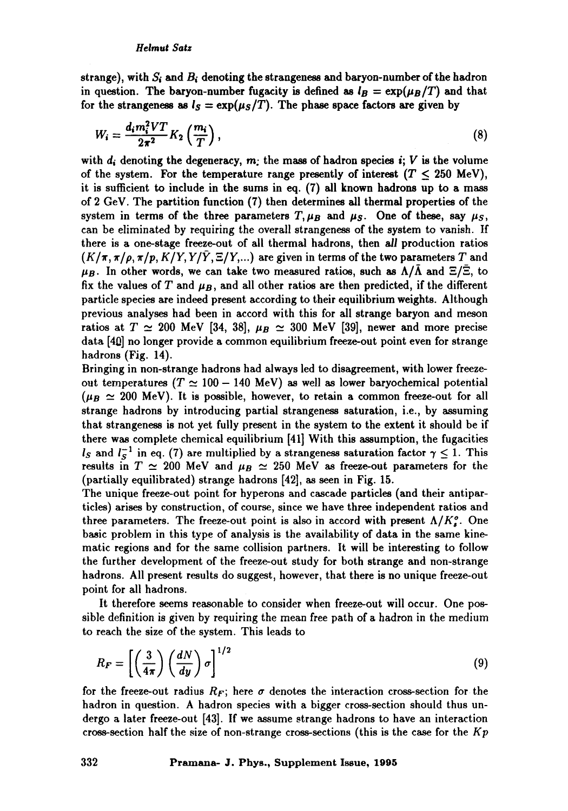strange), with  $S_i$  and  $B_i$  denoting the strangeness and baryon-number of the hadron in question. The baryon-number fugacity is defined as  $I_B = \exp(\mu_B/T)$  and that for the strangeness as  $I_s = \exp(\mu_s/T)$ . The phase space factors are given by

$$
W_i = \frac{d_i m_i^2 V T}{2\pi^2} K_2 \left(\frac{m_i}{T}\right),\tag{8}
$$

with  $d_i$  denoting the degeneracy,  $m_i$ ; the mass of hadron species  $i$ ; V is the volume of the system. For the temperature range presently of interest  $(T \leq 250 \text{ MeV})$ , it is sufficient to include in the sums in eq. (7) all known hadrons up to a mass of 2 GeV. The partition function (7) then determines all thermal properties of the system in terms of the three parameters  $T, \mu_B$  and  $\mu_S$ . One of these, say  $\mu_S$ , can be eliminated by requiring the overall strangeness of the system to vanish. If there is a one-stage freeze-out of all thermal hadrons, then all production ratios  $(K/\pi, \pi/\rho, \pi/p, K/Y, Y/Y, \Xi/Y,...)$  are given in terms of the two parameters T and  $\mu_B$ . In other words, we can take two measured ratios, such as  $\Lambda/\bar{\Lambda}$  and  $\Xi/\bar{\Xi}$ , to fix the values of T and  $\mu_B$ , and all other ratios are then predicted, if the different particle species are indeed present according to their equilibrium weights. Although previous analyses had been in accord with this for all strange baryon and meson ratios at  $T \simeq 200$  MeV [34, 38],  $\mu_B \simeq 300$  MeV [39], newer and more precise data [4ill no longer provide a common equilibrium freeze-out point even for strange hadrons (Fig. 14).

Bringing in non-strange hadrons had always led to disagreement, with lower freezeout temperatures ( $T \approx 100 - 140$  MeV) as well as lower baryochemical potential  $(\mu_B \simeq 200 \text{ MeV})$ . It is possible, however, to retain a common freeze-out for all strange hadrons by introducing partial strangeness saturation, i.e., by assuming that strangeness is not yet fully present in the system to the extent it should be if there was complete chemical equilibrium [41] With this assumption, the fugacities *Is* and  $I_S^{-1}$  in eq. (7) are multiplied by a strangeness saturation factor  $\gamma \leq 1$ . This results in  $T \simeq 200$  MeV and  $\mu_B \simeq 250$  MeV as freeze-out parameters for the (partially equilibrated) strange hadrons [42], as seen in Fig. 15.

The unique freeze-out point for hyperons and cascade particles (and their antiparticles) arises by construction, of course, since we have three independent ratios and three parameters. The freeze-out point is also in accord with present  $\Lambda/K_i^o$ . One basic problem in this type of analysis is the availability of data in the same kinematic regions and for the same collision partners. It will be interesting to follow the further development of the freeze-out study for both strange and non-strange hadrons. All present results do suggest, however, that there is no unique freeze-out point for all hadrons.

It therefore seems reasonable to consider when freeze-out will occur. One possible definition is given by requiring the mean free path of a hadron in the medium to reach the size of the system. This leads to

$$
R_F = \left[ \left( \frac{3}{4\pi} \right) \left( \frac{dN}{dy} \right) \sigma \right]^{1/2} \tag{9}
$$

for the freeze-out radius  $R_F$ ; here  $\sigma$  denotes the interaction cross-section for the hadron in question. A hadron species with a bigger cross-section should thus undergo a later freeze-out [43]. If we assume strange hadrons to have an interaction cross-section half the size of non-strange cross-sections (this is the case for the *Kp*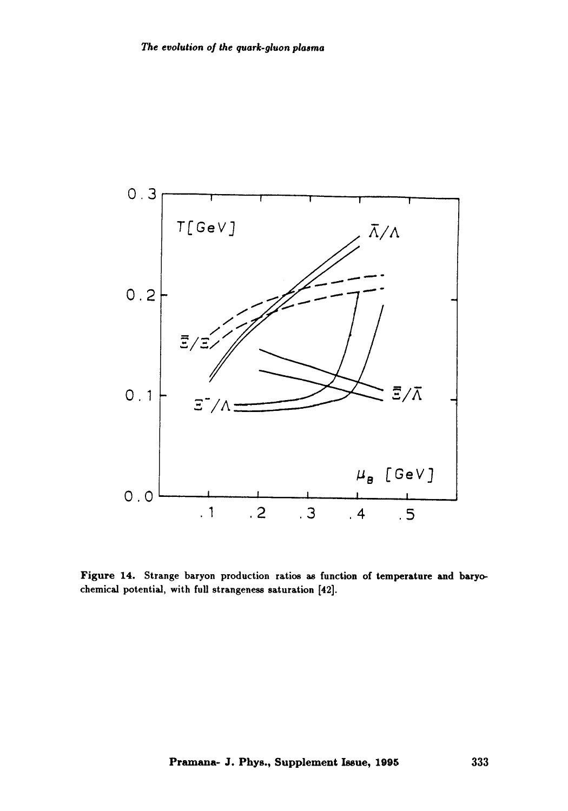

Figure 14. Strange baryon production ratios as function of temperature and baryochemical potential, with full strangeness saturation [42].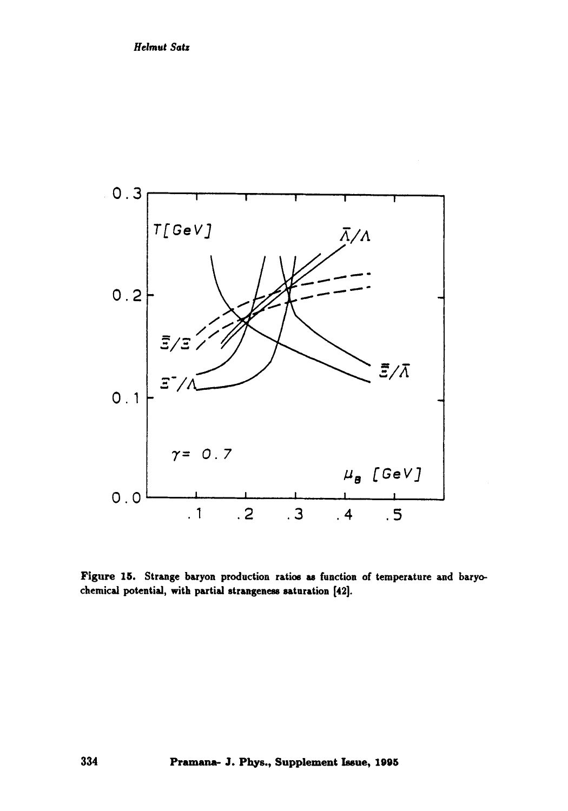

Figure 15. Strange baryon production ratios as function of temperature and baryochemical potential, with partial strangeness saturation [42].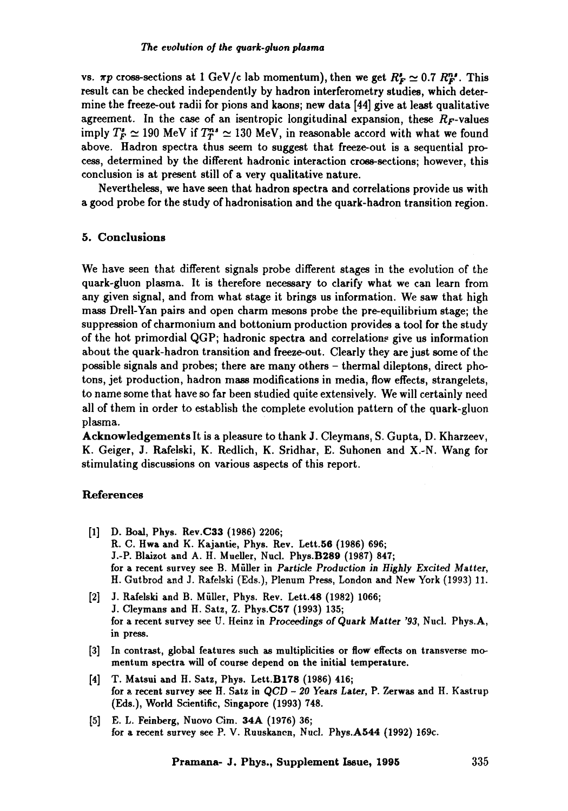vs.  $\pi p$  cross-sections at 1 GeV/c lab momentum), then we get  $R_F^* \simeq 0.7 R_F^{ns}$ . This result can be checked independently by hadron interferometry studies, which determine the freeze-out radii for pions and kaons; new data [44] give at least qualitative agreement. In the case of an isentropic longitudinal expansion, these  $R<sub>F</sub>$ -values imply  $T_F^s \simeq 190$  MeV if  $T_T^{ns} \simeq 130$  MeV, in reasonable accord with what we found above. Hadron spectra thus seem to suggest that freeze-out is a sequential process, determined by the different hadronic interaction cross-sections; however, this conclusion is at present still of a very qualitative nature.

Nevertheless, we have seen that hadron spectra and correlations provide us with a good probe for the study of hadronisation and the quark-hadron transition region.

#### 5. **Conclusions**

We have seen that different signals probe different stages in the evolution of the quark-gluon plasma. It is therefore necessary to clarify what we can learn from any given signal, and from what stage it brings us information. We saw that high mass Drell-Yan pairs and open charm mesons probe the pre-equilibrium stage; the suppression of charmonium and bottonium production provides a tool for the study of the hot primordial QGP; hadronic spectra and correlations give us information about the quark-hadron transition and freeze-out. Clearly they are just some of the possible signals and probes; there are many others - thermal dileptons, direct photons, jet production, hadron mass modifications in media, flow effects, strangelets, to name some that have so far been studied quite extensively. We will certainly need all of them in order to establish the complete evolution pattern of the quark-gluon plasma.

Acknowledgements It is a pleasure to thank J. Cleymans, S. Gupta, D. Kharzeev, K. Geiger, J. Rafelski, K. Redlich, K. Sridhar, E. Suhonen and X.-N. Wang for stimulating discussions on various aspects of this report.

#### References

- [1] D. Boal, Phys. Rev.C33 (1986) 2206; R. C. Hwa and K. Kajantie, Phys. Rev. Lett.56 (1986) 696; J.-P. Blaizot and A. H. Mueller, Nucl. Phys.B289 (1987) 847; for a recent survey see B. Müller in *Particle Production in Highly Excited Matter*, H. Gutbrod and J. Rafelski (Eds.), Plenum Press, London and New York (1993) 11.
- [2] J. Rafelski and B. Müller, Phys. Rev. Lett.48 (1982) 1066; J. Cleymans and H. Satz, Z. Phys.C57 (1993) 135; for a recent survey see U. Heinz in *Proceedings* of Quark *Matter '93,* Nucl. Phys.A, in press.
- [3] In contrast, global features such as multiplicities or flow effects on transverse momentum spectra will of course depend **on the** initial temperature.
- [4] T. Matsui and H. Satz, Phys. Lett.B178 (1986) 416; for a~ recent survey see H. Satz in QCD - 20 Years *Later,* P. Zerwas and H. Kastrup (Eds.), World Scientific, Singapore (1993) 748.
- [5] E.L. Feinberg, Nuovo Cim. 34A (1976) 36; for a recent survey see P. V. Ruuskancn, Nucl. Phys.A544 (1992) 169c.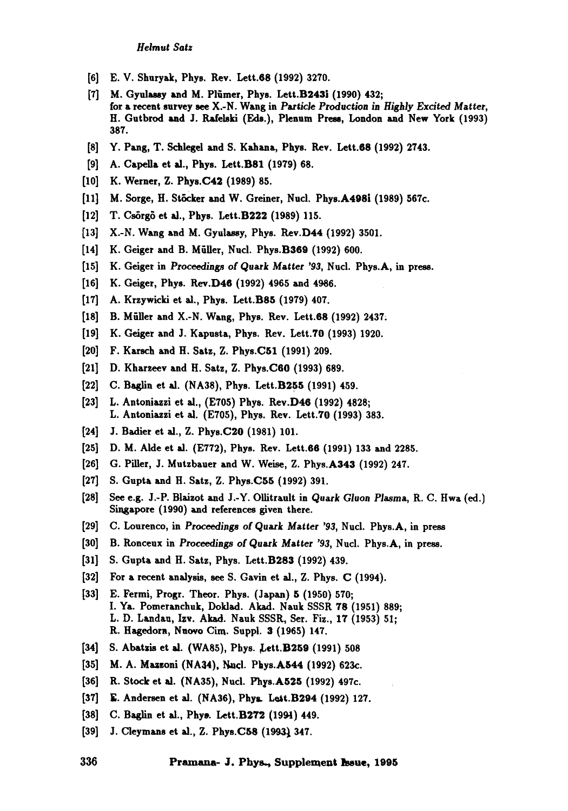- [6] E. V. Shuryak, Phys. Rev. Lett.68 (1992) 3270.
- [7] M. Gyulassy and M. Plümer, Phys. Lett.B243i (1990) 432; for a recent survey see X.-N. Wang in *Particle Production in Highly Excited Matter,* H. Gutbrod and J. Rafelski (Eds.), Plenum Press, London and New York (1993) 387.
- [8] Y. Pang, T. Schlegel and S. Kahana, Phys. Rev. Lett.68 (1992) 2743.
- [9] A. Capella et al., Phys. Lett.B81 (1979) 68.
- [10] K. Werner, Z. Phys.C42 (1989) 85.
- [11] M. Sorge, H. Stöcker and W. Greiner, Nucl. Phys.A498i (1989) 567c.
- [12] T. Csörgö et al., Phys. Lett.B222 (1989) 115.
- [13] X.-N. Wang and M. Gyulassy, Phys. Rev.D44 (1992) 3501.
- [14] K. Geiger and B. Müller, Nucl. Phys.B369 (1992) 600.
- [15] K. Geiger in *Proceedings of* Quark Matter *'93,* Nucl. Phys.A, in press.
- [16] K. Geiger, Phys. Rev.D46 (1992) 4965 and 4986.
- [17] A. Krzywicki et al., Phys. Lett.B85 (1979) 407.
- [18] B. Müller and X.-N. Wang, Phys. Rev. Lett.68 (1992) 2437.
- [19] K. Geiger and J. Kapusta, Phys. Rev. Lett.70 (1993) 1920.
- [20] F. Karsch and H. Satz, Z. Phys.C51 (1991) 209.
- [21] D. Kharzeev and H. Satz, Z. Phys.C60 (1993) 689.
- [22] C. Baglin et al. (NA38), Phys. Lett.B255 (1991) 459.
- [23] L. Antoniazzi et al., (E705) Phys. Rev.D46 (1992) 4828; L. Antoniazzi et al. (E705), Phys. Rev. Lett.TO (1993) 383.
- [24] J. Badier et al., Z. Phys.C2O (1981) 101.
- [25] D. M. Alde et al. (E772), Phys. Rev. Lett.66 (1991) 133 and 2285.
- [26] G. Piller, J. Mutzbaner and W. Weise, Z. Phys.A343 (1992) 247.
- [27] S. Gupta and H. Satz, Z. Phys.C55 (1992) 391.
- [28] See e.g. J.-P. Blaizot and J.-Y. Ollitrault in Quark Gluon Plasma, R. C. Hwa (ed.) Singapore (1990) and references given there.
- [29] C. Lourenco, in Proceedings of Quark Matter *'93,* Nucl. Phys.A, in press
- [30] B. Ronceux in Proceedings of Quark Matter '93, Nucl. Phys.A, in press.
- [31] S. Gupta and H. Satz, Phys. Lett.B283 (1992) 439.
- [32] For a recent analysis, see S. Gavin et al., Z. Phys. C (1994).
- [33] E. Fermi, Progr. Theor. Phys. (Japan) 5 (1950) 570; I. Ya. Pomeranchuk, Doldad. Akad. Nauk SSSR 78 (1951) 889; L. D. Lazdau, Izv. Akad. Nauk SSSR, Set. Fiz., 17 (1953) 51; R. Hagedorn, Nuovo Cim. Suppl. 3 (1965) 147.
- [34] S. Abatzis et al. (WA85), Phys. Lett.B259 (1991) 508
- [35] M. A. Mazzoni (NA34), Nucl. Phys.A544 (1992) 623c.
- [36] R. Stock et al. (NA35), Nucl. Phys.A525 (1992) 497c.
- [37] E. Andersen et al. (NA36), Phys. Lett.B294 (1992) 127.
- [38] C. Baglin et al., Phys. Lett.B272 (1994) 449.
- [39] J. Cleymans et al., Z. Phys.C58 (1993) 347.